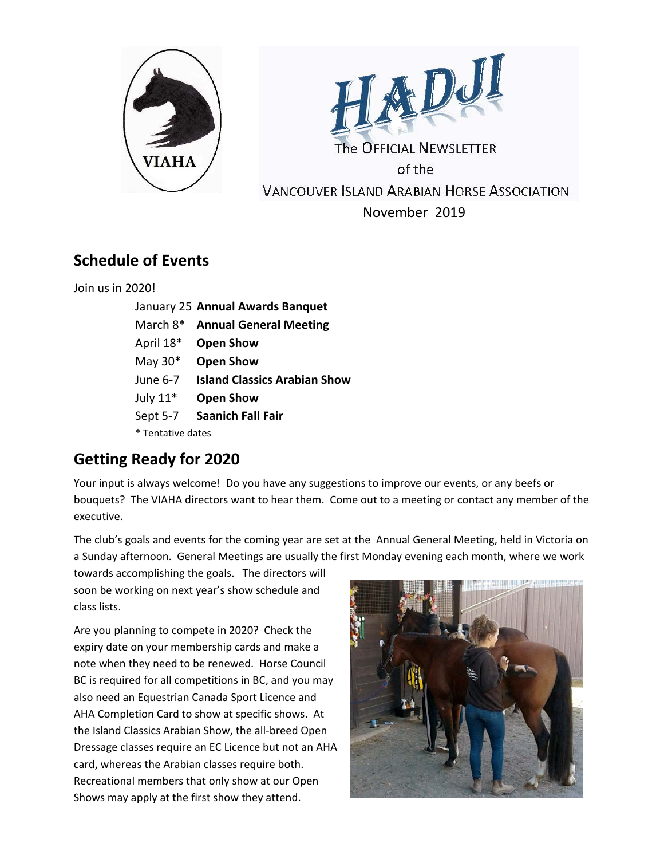



The OFFICIAL NEWSLETTER of the **VANCOUVER ISLAND ARABIAN HORSE ASSOCIATION** November 2019

## **Schedule of Events**

Join us in 2020!

|                   | January 25 Annual Awards Banquet    |
|-------------------|-------------------------------------|
| March 8*          | <b>Annual General Meeting</b>       |
| April 18*         | <b>Open Show</b>                    |
| May $30^*$        | <b>Open Show</b>                    |
| June 6-7          | <b>Island Classics Arabian Show</b> |
| July $11*$        | <b>Open Show</b>                    |
| Sept 5-7          | <b>Saanich Fall Fair</b>            |
| * Tentative dates |                                     |

# **Getting Ready for 2020**

Your input is always welcome! Do you have any suggestions to improve our events, or any beefs or bouquets? The VIAHA directors want to hear them. Come out to a meeting or contact any member of the executive.

The club's goals and events for the coming year are set at the Annual General Meeting, held in Victoria on a Sunday afternoon. General Meetings are usually the first Monday evening each month, where we work

towards accomplishing the goals. The directors will soon be working on next year's show schedule and class lists.

Are you planning to compete in 2020? Check the expiry date on your membership cards and make a note when they need to be renewed. Horse Council BC is required for all competitions in BC, and you may also need an Equestrian Canada Sport Licence and AHA Completion Card to show at specific shows. At the Island Classics Arabian Show, the all-breed Open Dressage classes require an EC Licence but not an AHA card, whereas the Arabian classes require both. Recreational members that only show at our Open Shows may apply at the first show they attend.

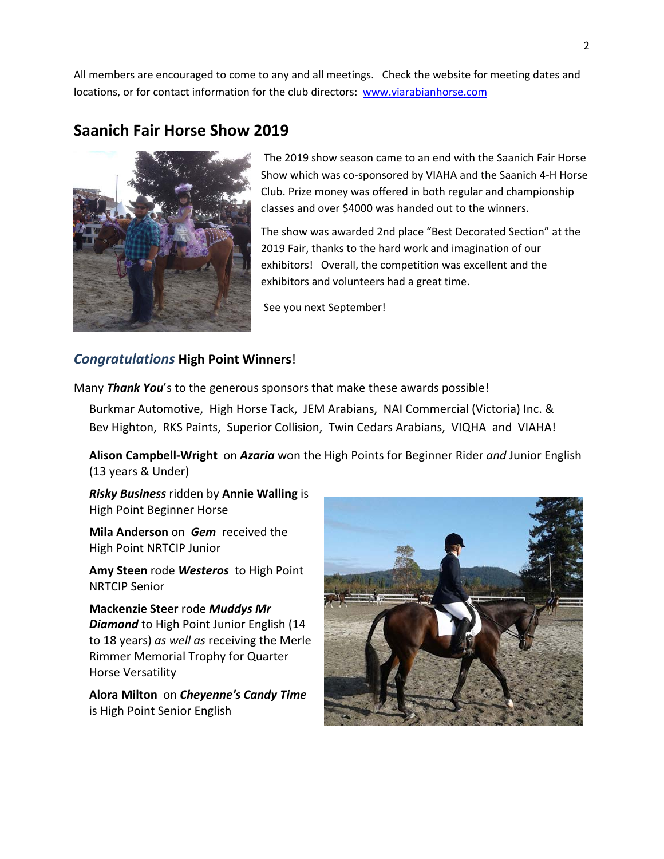All members are encouraged to come to any and all meetings. Check the website for meeting dates and locations, or for contact information for the club directors: www.viarabianhorse.com

### **Saanich Fair Horse Show 2019**



The 2019 show season came to an end with the Saanich Fair Horse Show which was co-sponsored by VIAHA and the Saanich 4-H Horse Club. Prize money was offered in both regular and championship classes and over \$4000 was handed out to the winners.

The show was awarded 2nd place "Best Decorated Section" at the 2019 Fair, thanks to the hard work and imagination of our exhibitors! Overall, the competition was excellent and the exhibitors and volunteers had a great time.

See you next September!

#### *Congratulations* **High Point Winners**!

Many *Thank You*'s to the generous sponsors that make these awards possible! Burkmar Automotive, High Horse Tack, JEM Arabians, NAI Commercial (Victoria) Inc. & Bev Highton, RKS Paints, Superior Collision, Twin Cedars Arabians, VIQHA and VIAHA!

**Alison Campbell-Wright** on *Azaria* won the High Points for Beginner Rider *and* Junior English (13 years & Under)

*Risky Business* ridden by **Annie Walling** is High Point Beginner Horse

**Mila Anderson** on *Gem* received the High Point NRTCIP Junior

**Amy Steen** rode *Westeros* to High Point NRTCIP Senior

**Mackenzie Steer** rode *Muddys Mr Diamond* to High Point Junior English (14 to 18 years) *as well as* receiving the Merle Rimmer Memorial Trophy for Quarter Horse Versatility

**Alora Milton** on *Cheyenne's Candy Time* is High Point Senior English

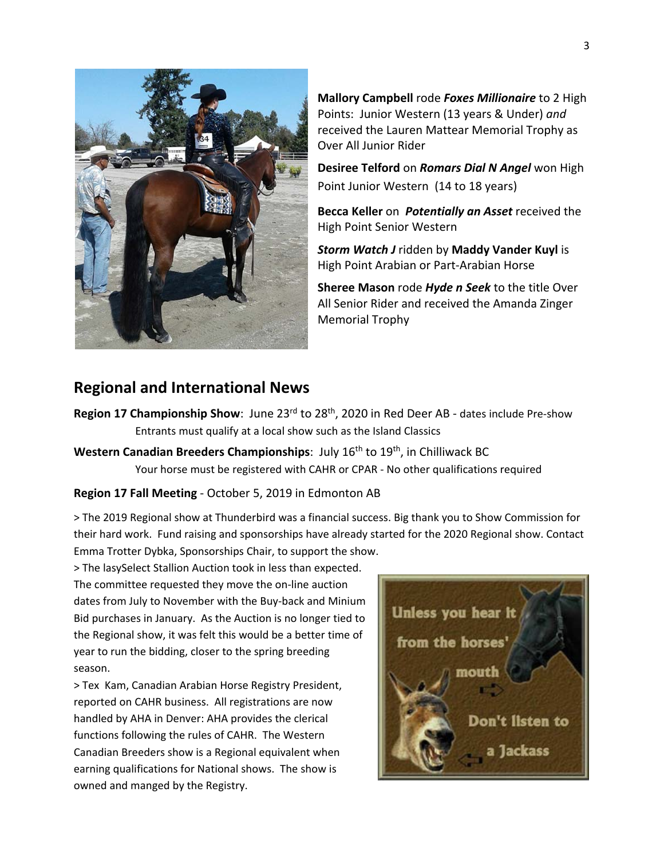

**Mallory Campbell** rode *Foxes Millionaire* to 2 High Points: Junior Western (13 years & Under) *and* received the Lauren Mattear Memorial Trophy as Over All Junior Rider

**Desiree Telford** on *Romars Dial N Angel* won High Point Junior Western (14 to 18 years)

**Becca Keller** on *Potentially an Asset* received the High Point Senior Western

*Storm Watch J* ridden by **Maddy Vander Kuyl** is High Point Arabian or Part-Arabian Horse

**Sheree Mason** rode *Hyde n Seek* to the title Over All Senior Rider and received the Amanda Zinger Memorial Trophy

#### **Regional and International News**

- **Region 17 Championship Show**: June 23<sup>rd</sup> to 28<sup>th</sup>, 2020 in Red Deer AB dates include Pre-show Entrants must qualify at a local show such as the Island Classics
- **Western Canadian Breeders Championships: July 16<sup>th</sup> to 19<sup>th</sup>, in Chilliwack BC** Your horse must be registered with CAHR or CPAR - No other qualifications required

#### **Region 17 Fall Meeting** - October 5, 2019 in Edmonton AB

> The 2019 Regional show at Thunderbird was a financial success. Big thank you to Show Commission for their hard work. Fund raising and sponsorships have already started for the 2020 Regional show. Contact Emma Trotter Dybka, Sponsorships Chair, to support the show.

> The lasySelect Stallion Auction took in less than expected. The committee requested they move the on-line auction dates from July to November with the Buy-back and Minium Bid purchases in January. As the Auction is no longer tied to the Regional show, it was felt this would be a better time of year to run the bidding, closer to the spring breeding season.

> Tex Kam, Canadian Arabian Horse Registry President, reported on CAHR business. All registrations are now handled by AHA in Denver: AHA provides the clerical functions following the rules of CAHR. The Western Canadian Breeders show is a Regional equivalent when earning qualifications for National shows. The show is owned and manged by the Registry.

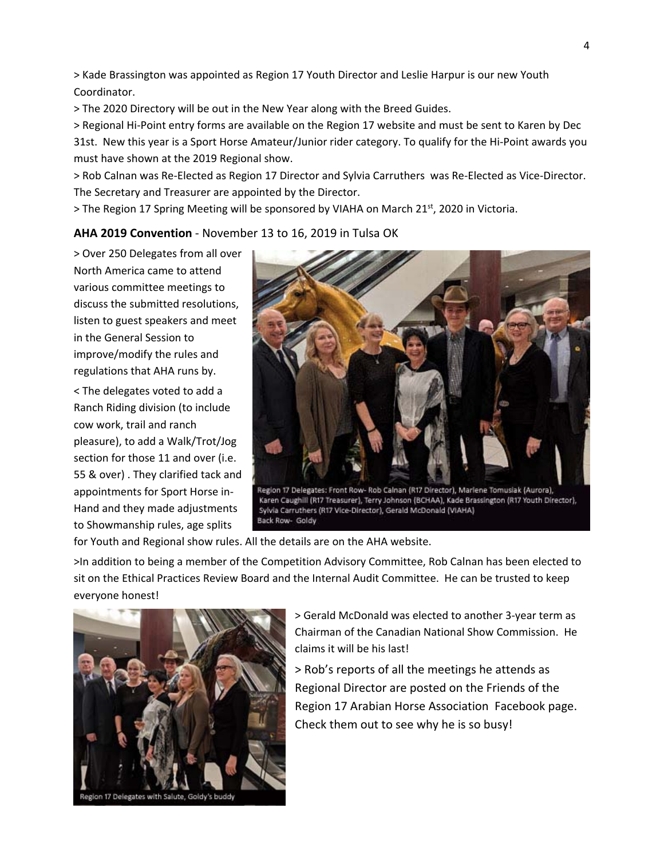> Kade Brassington was appointed as Region 17 Youth Director and Leslie Harpur is our new Youth Coordinator.

> The 2020 Directory will be out in the New Year along with the Breed Guides.

> Regional Hi-Point entry forms are available on the Region 17 website and must be sent to Karen by Dec 31st. New this year is a Sport Horse Amateur/Junior rider category. To qualify for the Hi-Point awards you must have shown at the 2019 Regional show.

> Rob Calnan was Re-Elected as Region 17 Director and Sylvia Carruthers was Re-Elected as Vice-Director. The Secretary and Treasurer are appointed by the Director.

> The Region 17 Spring Meeting will be sponsored by VIAHA on March 21<sup>st</sup>, 2020 in Victoria.

**AHA 2019 Convention** - November 13 to 16, 2019 in Tulsa OK

> Over 250 Delegates from all over North America came to attend various committee meetings to discuss the submitted resolutions, listen to guest speakers and meet in the General Session to improve/modify the rules and regulations that AHA runs by.

< The delegates voted to add a Ranch Riding division (to include cow work, trail and ranch pleasure), to add a Walk/Trot/Jog section for those 11 and over (i.e. 55 & over) . They clarified tack and appointments for Sport Horse in-Hand and they made adjustments to Showmanship rules, age splits



for Youth and Regional show rules. All the details are on the AHA website.

>In addition to being a member of the Competition Advisory Committee, Rob Calnan has been elected to sit on the Ethical Practices Review Board and the Internal Audit Committee. He can be trusted to keep everyone honest!



> Gerald McDonald was elected to another 3-year term as Chairman of the Canadian National Show Commission. He claims it will be his last!

> Rob's reports of all the meetings he attends as Regional Director are posted on the Friends of the Region 17 Arabian Horse Association Facebook page. Check them out to see why he is so busy!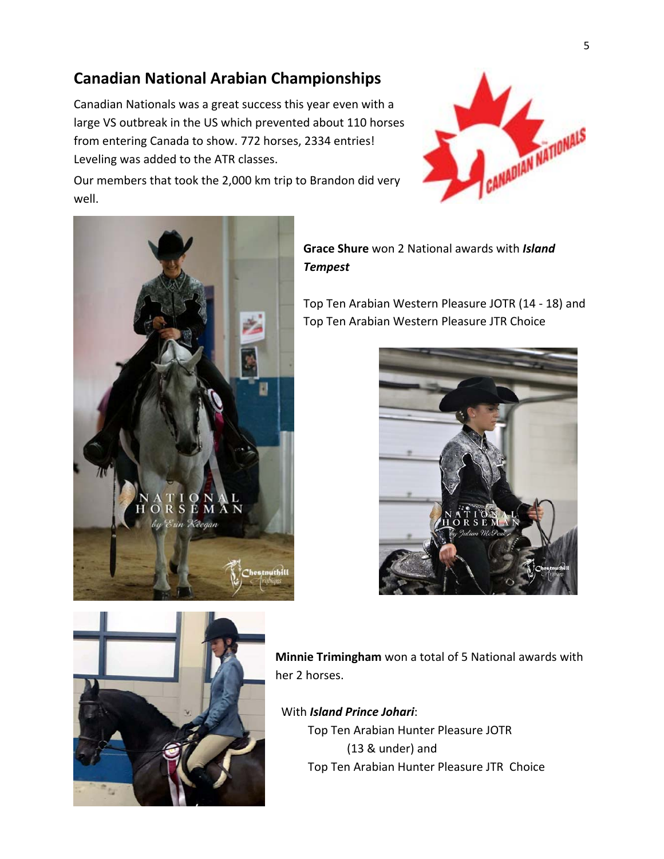## **Canadian National Arabian Championships**

Canadian Nationals was a great success this year even with a large VS outbreak in the US which prevented about 110 horses from entering Canada to show. 772 horses, 2334 entries! Leveling was added to the ATR classes.



Our members that took the 2,000 km trip to Brandon did very well.



**Grace Shure** won 2 National awards with *Island Tempest*

Top Ten Arabian Western Pleasure JOTR (14 - 18) and Top Ten Arabian Western Pleasure JTR Choice





**Minnie Trimingham** won a total of 5 National awards with her 2 horses.

With *Island Prince Johari*:

 Top Ten Arabian Hunter Pleasure JOTR (13 & under) and Top Ten Arabian Hunter Pleasure JTR Choice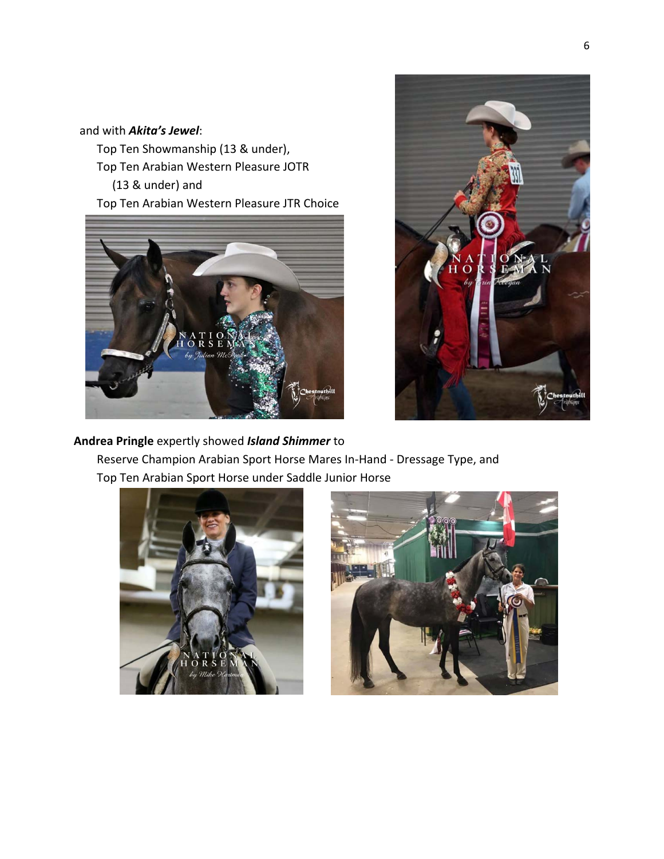#### and with *Akita's Jewel*:

 Top Ten Showmanship (13 & under), Top Ten Arabian Western Pleasure JOTR (13 & under) and Top Ten Arabian Western Pleasure JTR Choice





### **Andrea Pringle** expertly showed *Island Shimmer* to Reserve Champion Arabian Sport Horse Mares In-Hand - Dressage Type, and Top Ten Arabian Sport Horse under Saddle Junior Horse